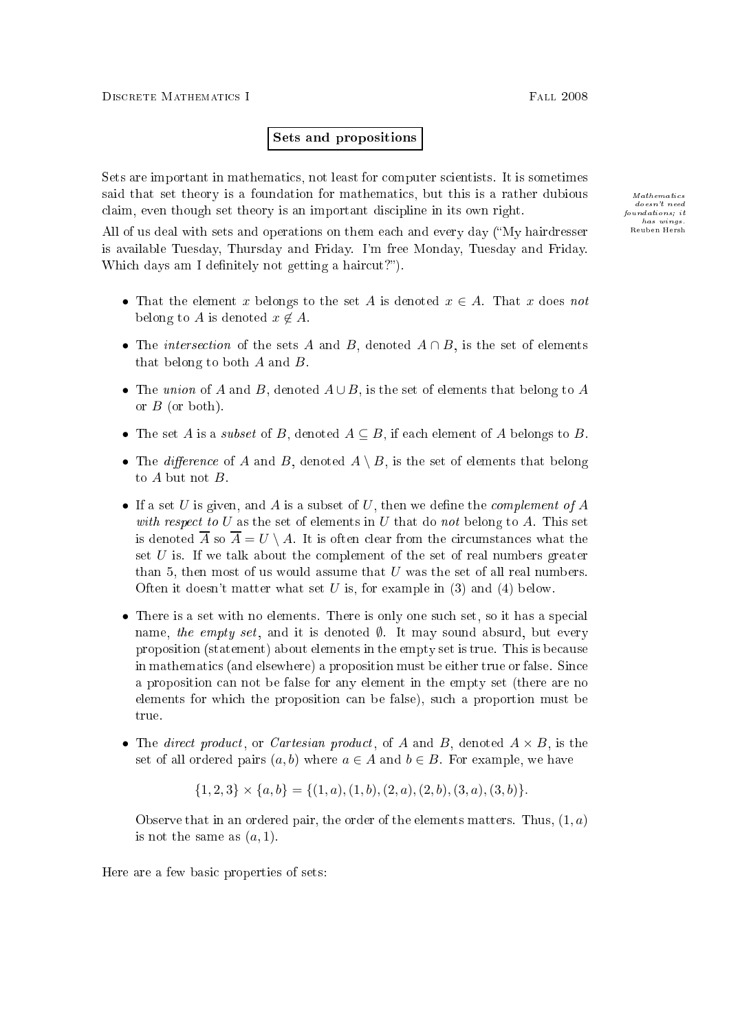## Sets and propositions

Sets are important in mathematics, not least for computer scientists. It is sometimes said that set theory is a foundation for mathematics, but this is a rather dubious  $M_{athematics}$ claim, even though set theory is an important discipline in its own right.

All of us deal with sets and operations on them each and every day ("My hairdresser is available Tuesday, Thursday and Friday. I'm free Monday, Tuesday and Friday. Which days am I definitely not getting a haircut?").

- That the element x belongs to the set A is denoted  $x \in A$ . That x does not belong to A is denoted  $x \notin A$ .
- The intersection of the sets A and B, denoted  $A \cap B$ , is the set of elements that belong to both  $A$  and  $B$ .
- The union of A and B, denoted  $A \cup B$ , is the set of elements that belong to A or  $B$  (or both).
- The set A is a *subset* of B, denoted  $A \subseteq B$ , if each element of A belongs to B.
- The difference of A and B, denoted  $A \setminus B$ , is the set of elements that belong to  $A$  but not  $B$ .
- If a set U is given, and A is a subset of U, then we define the *complement of* A with respect to U as the set of elements in U that do not belong to A. This set is denoted  $\overline{A}$  so  $\overline{A} = U \setminus A$ . It is often clear from the circumstances what the set  $U$  is. If we talk about the complement of the set of real numbers greater than 5, then most of us would assume that  $U$  was the set of all real numbers. Often it doesn't matter what set  $U$  is, for example in (3) and (4) below.
- There is a set with no elements. There is only one such set, so it has a special name, the empty set, and it is denoted  $\emptyset$ . It may sound absurd, but every proposition (statement) about elements in the empty set is true. This is be
ause in mathemati
s (and elsewhere) a proposition must be either true or false. Sin
e a proposition an not be false for any element in the empty set (there are no elements for whi
h the proposition an be false), su
h a proportion must be true.
- The direct product, or Cartesian product, of A and B, denoted  $A \times B$ , is the set of all ordered pairs  $(a, b)$  where  $a \in A$  and  $b \in B$ . For example, we have

 $\{1, 2, 3\} \times \{a, b\} = \{(1, a), (1, b), (2, a), (2, b), (3, a), (3, b)\}.$ 

Observe that in an ordered pair, the order of the elements matters. Thus,  $(1, a)$ is not the same as  $(a, 1)$ .

Here are a few basic properties of sets:

doesn't need  $founds$ ; it Reuben Hersh